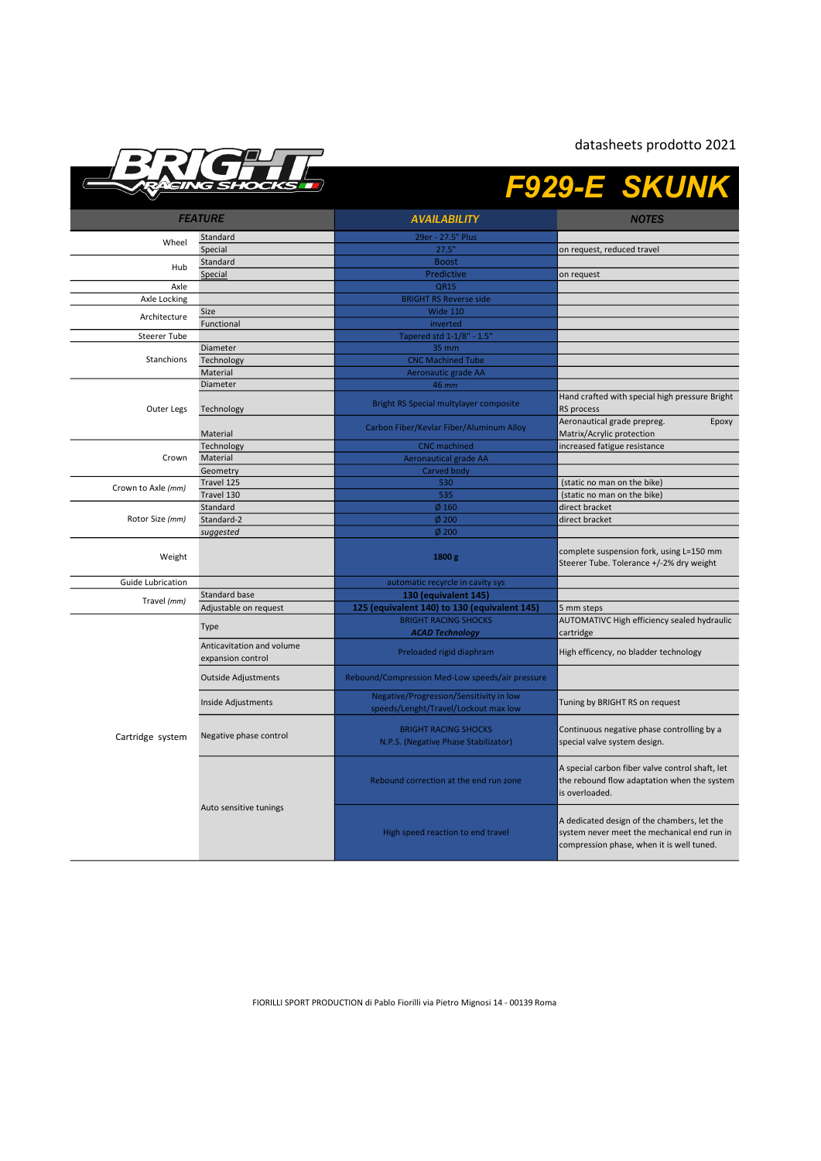datasheets prodotto 2021



## F929-E SKUNK

| <b>FEATURE</b>     |                                                | <b>AVAILABILITY</b>                                                             | <b>NOTES</b>                                                                                                                            |
|--------------------|------------------------------------------------|---------------------------------------------------------------------------------|-----------------------------------------------------------------------------------------------------------------------------------------|
|                    | Standard                                       | 29er - 27.5" Plus                                                               |                                                                                                                                         |
| Wheel              | Special                                        | 27,5"                                                                           | on request, reduced travel                                                                                                              |
|                    | Standard                                       | <b>Boost</b>                                                                    |                                                                                                                                         |
| Hub                | Special                                        | Predictive                                                                      | on request                                                                                                                              |
| Axle               |                                                | <b>QR15</b>                                                                     |                                                                                                                                         |
| Axle Locking       |                                                | <b>BRIGHT RS Reverse side</b>                                                   |                                                                                                                                         |
|                    | Size                                           | Wide 110                                                                        |                                                                                                                                         |
| Architecture       | Functional                                     | inverted                                                                        |                                                                                                                                         |
| Steerer Tube       |                                                | Tapered std 1-1/8" - 1.5"                                                       |                                                                                                                                         |
| Stanchions         | Diameter                                       | 35 mm                                                                           |                                                                                                                                         |
|                    | Technology                                     | <b>CNC Machined Tube</b>                                                        |                                                                                                                                         |
|                    | Material                                       | Aeronautic grade AA                                                             |                                                                                                                                         |
| Outer Legs         | Diameter                                       | 46 mm                                                                           |                                                                                                                                         |
|                    | Technology                                     | Bright RS Special multylayer composite                                          | Hand crafted with special high pressure Bright<br>RS process                                                                            |
|                    | Material                                       | Carbon Fiber/Kevlar Fiber/Aluminum Alloy                                        | Aeronautical grade prepreg.<br>Epoxy<br>Matrix/Acrylic protection                                                                       |
|                    | Technology                                     | <b>CNC</b> machined                                                             | increased fatigue resistance                                                                                                            |
| Crown              | Material                                       | <b>Aeronautical grade AA</b>                                                    |                                                                                                                                         |
|                    | Geometry                                       | Carved body                                                                     |                                                                                                                                         |
| Crown to Axle (mm) | Travel 125                                     | 530                                                                             | (static no man on the bike)                                                                                                             |
|                    | Travel 130                                     | 535                                                                             | (static no man on the bike)                                                                                                             |
|                    | Standard                                       | $Ø$ 160                                                                         | direct bracket                                                                                                                          |
| Rotor Size (mm)    | Standard-2                                     | $\phi$ 200                                                                      | direct bracket                                                                                                                          |
|                    | suggested                                      | $\emptyset$ 200                                                                 |                                                                                                                                         |
| Weight             |                                                | 1800 g                                                                          | complete suspension fork, using L=150 mm<br>Steerer Tube. Tolerance +/-2% dry weight                                                    |
| Guide Lubrication  |                                                | automatic recyrcle in cavity sys                                                |                                                                                                                                         |
|                    | Standard base                                  | 130 (equivalent 145)                                                            |                                                                                                                                         |
| Travel (mm)        | Adjustable on request                          | 125 (equivalent 140) to 130 (equivalent 145)                                    | 5 mm steps                                                                                                                              |
|                    | Type                                           | <b>BRIGHT RACING SHOCKS</b>                                                     | AUTOMATIVC High efficiency sealed hydraulic                                                                                             |
| Cartridge system   |                                                | <b>ACAD Technology</b>                                                          | cartridge                                                                                                                               |
|                    | Anticavitation and volume<br>expansion control | Preloaded rigid diaphram                                                        | High efficency, no bladder technology                                                                                                   |
|                    | <b>Outside Adjustments</b>                     | Rebound/Compression Med-Low speeds/air pressure                                 |                                                                                                                                         |
|                    | Inside Adjustments                             | Negative/Progression/Sensitivity in low<br>speeds/Lenght/Travel/Lockout max low | Tuning by BRIGHT RS on request                                                                                                          |
|                    | Negative phase control                         | <b>BRIGHT RACING SHOCKS</b><br>N.P.S. (Negative Phase Stabilizator)             | Continuous negative phase controlling by a<br>special valve system design.                                                              |
|                    | Auto sensitive tunings                         | Rebound correction at the end run zone                                          | A special carbon fiber valve control shaft, let<br>the rebound flow adaptation when the system<br>is overloaded.                        |
|                    |                                                | High speed reaction to end travel                                               | A dedicated design of the chambers, let the<br>system never meet the mechanical end run in<br>compression phase, when it is well tuned. |

FIORILLI SPORT PRODUCTION di Pablo Fiorilli via Pietro Mignosi 14 - 00139 Roma